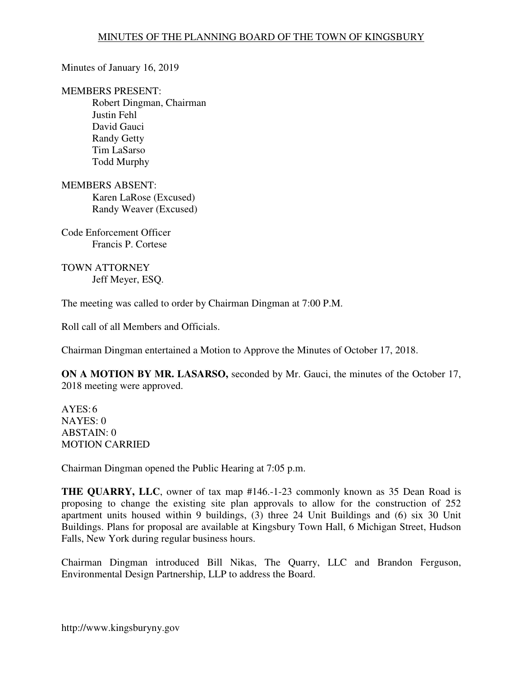Minutes of January 16, 2019

MEMBERS PRESENT:

Robert Dingman, Chairman Justin Fehl David Gauci Randy Getty Tim LaSarso Todd Murphy

MEMBERS ABSENT: Karen LaRose (Excused) Randy Weaver (Excused)

Code Enforcement Officer Francis P. Cortese

TOWN ATTORNEY Jeff Meyer, ESQ.

The meeting was called to order by Chairman Dingman at 7:00 P.M.

Roll call of all Members and Officials.

Chairman Dingman entertained a Motion to Approve the Minutes of October 17, 2018.

**ON A MOTION BY MR. LASARSO,** seconded by Mr. Gauci, the minutes of the October 17, 2018 meeting were approved.

 $AYES:6$ NAYES: 0 ABSTAIN: 0 MOTION CARRIED

Chairman Dingman opened the Public Hearing at 7:05 p.m.

**THE QUARRY, LLC**, owner of tax map #146.-1-23 commonly known as 35 Dean Road is proposing to change the existing site plan approvals to allow for the construction of 252 apartment units housed within 9 buildings, (3) three 24 Unit Buildings and (6) six 30 Unit Buildings. Plans for proposal are available at Kingsbury Town Hall, 6 Michigan Street, Hudson Falls, New York during regular business hours.

Chairman Dingman introduced Bill Nikas, The Quarry, LLC and Brandon Ferguson, Environmental Design Partnership, LLP to address the Board.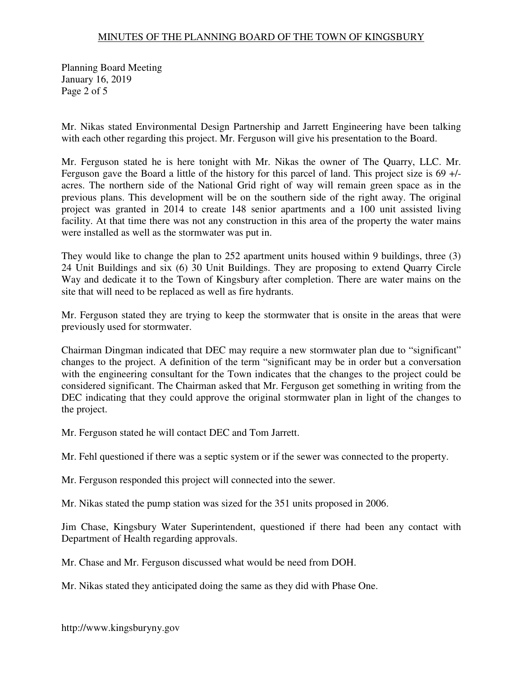Planning Board Meeting January 16, 2019 Page 2 of 5

Mr. Nikas stated Environmental Design Partnership and Jarrett Engineering have been talking with each other regarding this project. Mr. Ferguson will give his presentation to the Board.

Mr. Ferguson stated he is here tonight with Mr. Nikas the owner of The Quarry, LLC. Mr. Ferguson gave the Board a little of the history for this parcel of land. This project size is 69 +/ acres. The northern side of the National Grid right of way will remain green space as in the previous plans. This development will be on the southern side of the right away. The original project was granted in 2014 to create 148 senior apartments and a 100 unit assisted living facility. At that time there was not any construction in this area of the property the water mains were installed as well as the stormwater was put in.

They would like to change the plan to 252 apartment units housed within 9 buildings, three (3) 24 Unit Buildings and six (6) 30 Unit Buildings. They are proposing to extend Quarry Circle Way and dedicate it to the Town of Kingsbury after completion. There are water mains on the site that will need to be replaced as well as fire hydrants.

Mr. Ferguson stated they are trying to keep the stormwater that is onsite in the areas that were previously used for stormwater.

Chairman Dingman indicated that DEC may require a new stormwater plan due to "significant" changes to the project. A definition of the term "significant may be in order but a conversation with the engineering consultant for the Town indicates that the changes to the project could be considered significant. The Chairman asked that Mr. Ferguson get something in writing from the DEC indicating that they could approve the original stormwater plan in light of the changes to the project.

Mr. Ferguson stated he will contact DEC and Tom Jarrett.

Mr. Fehl questioned if there was a septic system or if the sewer was connected to the property.

Mr. Ferguson responded this project will connected into the sewer.

Mr. Nikas stated the pump station was sized for the 351 units proposed in 2006.

Jim Chase, Kingsbury Water Superintendent, questioned if there had been any contact with Department of Health regarding approvals.

Mr. Chase and Mr. Ferguson discussed what would be need from DOH.

Mr. Nikas stated they anticipated doing the same as they did with Phase One.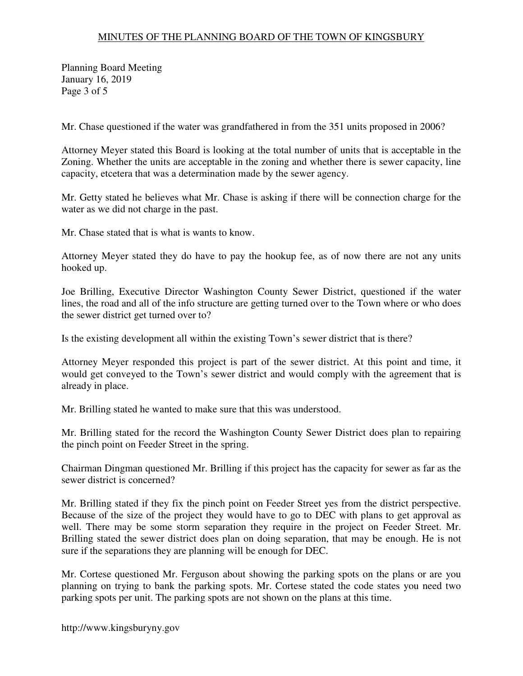Planning Board Meeting January 16, 2019 Page 3 of 5

Mr. Chase questioned if the water was grandfathered in from the 351 units proposed in 2006?

Attorney Meyer stated this Board is looking at the total number of units that is acceptable in the Zoning. Whether the units are acceptable in the zoning and whether there is sewer capacity, line capacity, etcetera that was a determination made by the sewer agency.

Mr. Getty stated he believes what Mr. Chase is asking if there will be connection charge for the water as we did not charge in the past.

Mr. Chase stated that is what is wants to know.

Attorney Meyer stated they do have to pay the hookup fee, as of now there are not any units hooked up.

Joe Brilling, Executive Director Washington County Sewer District, questioned if the water lines, the road and all of the info structure are getting turned over to the Town where or who does the sewer district get turned over to?

Is the existing development all within the existing Town's sewer district that is there?

Attorney Meyer responded this project is part of the sewer district. At this point and time, it would get conveyed to the Town's sewer district and would comply with the agreement that is already in place.

Mr. Brilling stated he wanted to make sure that this was understood.

Mr. Brilling stated for the record the Washington County Sewer District does plan to repairing the pinch point on Feeder Street in the spring.

Chairman Dingman questioned Mr. Brilling if this project has the capacity for sewer as far as the sewer district is concerned?

Mr. Brilling stated if they fix the pinch point on Feeder Street yes from the district perspective. Because of the size of the project they would have to go to DEC with plans to get approval as well. There may be some storm separation they require in the project on Feeder Street. Mr. Brilling stated the sewer district does plan on doing separation, that may be enough. He is not sure if the separations they are planning will be enough for DEC.

Mr. Cortese questioned Mr. Ferguson about showing the parking spots on the plans or are you planning on trying to bank the parking spots. Mr. Cortese stated the code states you need two parking spots per unit. The parking spots are not shown on the plans at this time.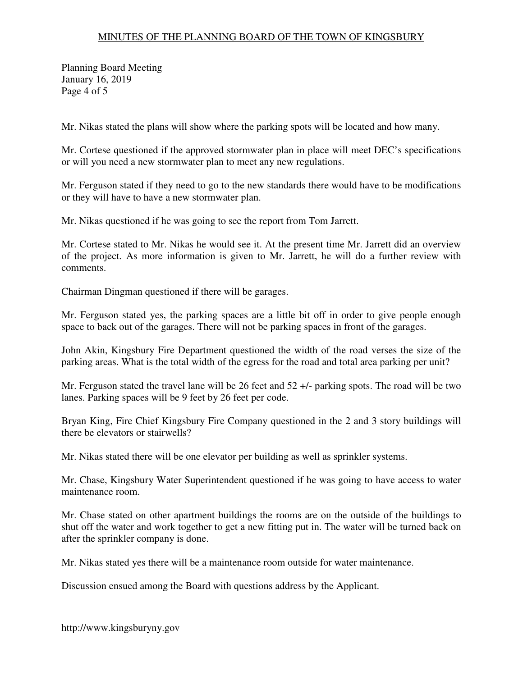Planning Board Meeting January 16, 2019 Page 4 of 5

Mr. Nikas stated the plans will show where the parking spots will be located and how many.

Mr. Cortese questioned if the approved stormwater plan in place will meet DEC's specifications or will you need a new stormwater plan to meet any new regulations.

Mr. Ferguson stated if they need to go to the new standards there would have to be modifications or they will have to have a new stormwater plan.

Mr. Nikas questioned if he was going to see the report from Tom Jarrett.

Mr. Cortese stated to Mr. Nikas he would see it. At the present time Mr. Jarrett did an overview of the project. As more information is given to Mr. Jarrett, he will do a further review with comments.

Chairman Dingman questioned if there will be garages.

Mr. Ferguson stated yes, the parking spaces are a little bit off in order to give people enough space to back out of the garages. There will not be parking spaces in front of the garages.

John Akin, Kingsbury Fire Department questioned the width of the road verses the size of the parking areas. What is the total width of the egress for the road and total area parking per unit?

Mr. Ferguson stated the travel lane will be 26 feet and 52 +/- parking spots. The road will be two lanes. Parking spaces will be 9 feet by 26 feet per code.

Bryan King, Fire Chief Kingsbury Fire Company questioned in the 2 and 3 story buildings will there be elevators or stairwells?

Mr. Nikas stated there will be one elevator per building as well as sprinkler systems.

Mr. Chase, Kingsbury Water Superintendent questioned if he was going to have access to water maintenance room.

Mr. Chase stated on other apartment buildings the rooms are on the outside of the buildings to shut off the water and work together to get a new fitting put in. The water will be turned back on after the sprinkler company is done.

Mr. Nikas stated yes there will be a maintenance room outside for water maintenance.

Discussion ensued among the Board with questions address by the Applicant.